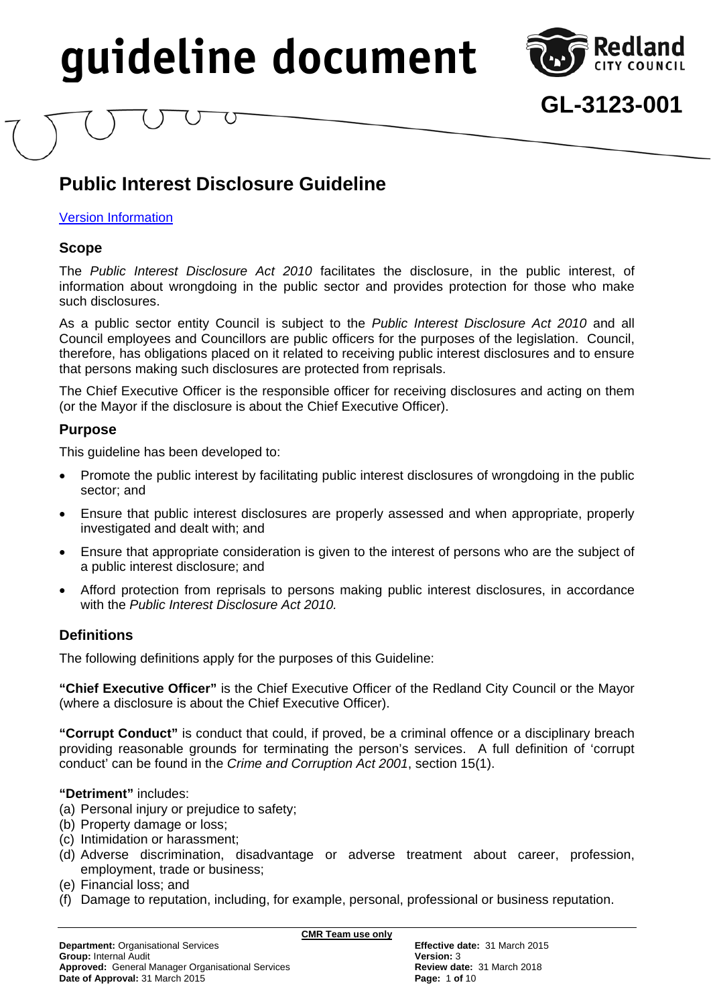

## **GL-3123-001**

### **Public Interest Disclosure Guideline**

#### **Version Information**

#### **Scope**

The *Public Interest Disclosure Act 2010* facilitates the disclosure, in the public interest, of information about wrongdoing in the public sector and provides protection for those who make such disclosures.

As a public sector entity Council is subject to the *Public Interest Disclosure Act 2010* and all Council employees and Councillors are public officers for the purposes of the legislation. Council, therefore, has obligations placed on it related to receiving public interest disclosures and to ensure that persons making such disclosures are protected from reprisals.

The Chief Executive Officer is the responsible officer for receiving disclosures and acting on them (or the Mayor if the disclosure is about the Chief Executive Officer).

#### **Purpose**

This guideline has been developed to:

- Promote the public interest by facilitating public interest disclosures of wrongdoing in the public sector; and
- Ensure that public interest disclosures are properly assessed and when appropriate, properly investigated and dealt with; and
- Ensure that appropriate consideration is given to the interest of persons who are the subject of a public interest disclosure; and
- Afford protection from reprisals to persons making public interest disclosures, in accordance with the *Public Interest Disclosure Act 2010.*

#### **Definitions**

The following definitions apply for the purposes of this Guideline:

**"Chief Executive Officer"** is the Chief Executive Officer of the Redland City Council or the Mayor (where a disclosure is about the Chief Executive Officer).

**"Corrupt Conduct"** is conduct that could, if proved, be a criminal offence or a disciplinary breach providing reasonable grounds for terminating the person's services. A full definition of 'corrupt conduct' can be found in the *Crime and Corruption Act 2001*, section 15(1).

#### **"Detriment"** includes:

- (a) Personal injury or prejudice to safety;
- (b) Property damage or loss;
- (c) Intimidation or harassment;
- (d) Adverse discrimination, disadvantage or adverse treatment about career, profession, employment, trade or business;
- (e) Financial loss; and
- (f) Damage to reputation, including, for example, personal, professional or business reputation.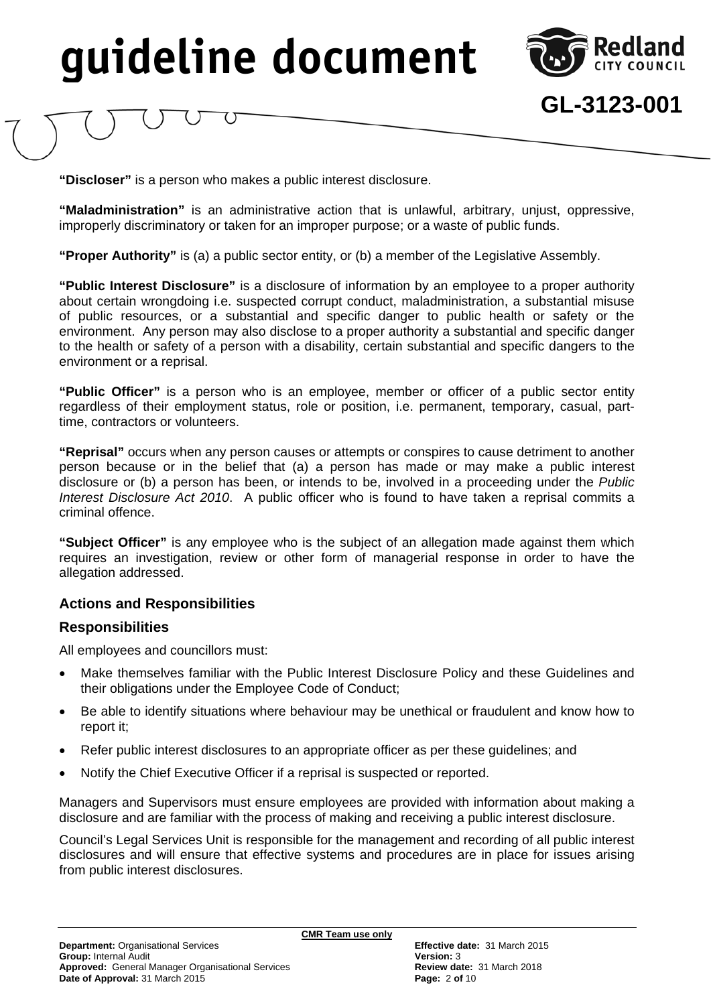

**GL-3123-001**

**"Discloser"** is a person who makes a public interest disclosure.

**"Maladministration"** is an administrative action that is unlawful, arbitrary, unjust, oppressive, improperly discriminatory or taken for an improper purpose; or a waste of public funds.

**"Proper Authority"** is (a) a public sector entity, or (b) a member of the Legislative Assembly.

**"Public Interest Disclosure"** is a disclosure of information by an employee to a proper authority about certain wrongdoing i.e. suspected corrupt conduct, maladministration, a substantial misuse of public resources, or a substantial and specific danger to public health or safety or the environment. Any person may also disclose to a proper authority a substantial and specific danger to the health or safety of a person with a disability, certain substantial and specific dangers to the environment or a reprisal.

**"Public Officer"** is a person who is an employee, member or officer of a public sector entity regardless of their employment status, role or position, i.e. permanent, temporary, casual, parttime, contractors or volunteers.

**"Reprisal"** occurs when any person causes or attempts or conspires to cause detriment to another person because or in the belief that (a) a person has made or may make a public interest disclosure or (b) a person has been, or intends to be, involved in a proceeding under the *Public Interest Disclosure Act 2010*. A public officer who is found to have taken a reprisal commits a criminal offence.

**"Subject Officer"** is any employee who is the subject of an allegation made against them which requires an investigation, review or other form of managerial response in order to have the allegation addressed.

#### **Actions and Responsibilities**

#### **Responsibilities**

All employees and councillors must:

- Make themselves familiar with the Public Interest Disclosure Policy and these Guidelines and their obligations under the Employee Code of Conduct;
- Be able to identify situations where behaviour may be unethical or fraudulent and know how to report it;
- Refer public interest disclosures to an appropriate officer as per these guidelines; and
- Notify the Chief Executive Officer if a reprisal is suspected or reported.

Managers and Supervisors must ensure employees are provided with information about making a disclosure and are familiar with the process of making and receiving a public interest disclosure.

Council's Legal Services Unit is responsible for the management and recording of all public interest disclosures and will ensure that effective systems and procedures are in place for issues arising from public interest disclosures.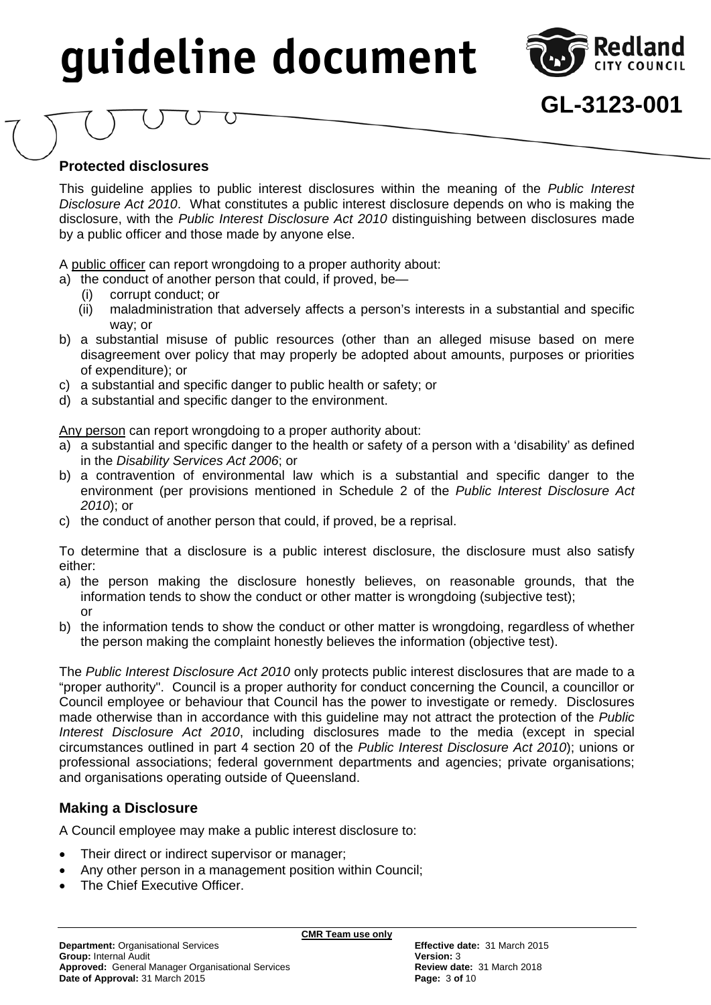

### **GL-3123-001**

#### **Protected disclosures**

This guideline applies to public interest disclosures within the meaning of the *Public Interest Disclosure Act 2010*. What constitutes a public interest disclosure depends on who is making the disclosure, with the *Public Interest Disclosure Act 2010* distinguishing between disclosures made by a public officer and those made by anyone else.

A public officer can report wrongdoing to a proper authority about:

- a) the conduct of another person that could, if proved, be-
	- (i) corrupt conduct; or
	- (ii) maladministration that adversely affects a person's interests in a substantial and specific way; or
- b) a substantial misuse of public resources (other than an alleged misuse based on mere disagreement over policy that may properly be adopted about amounts, purposes or priorities of expenditure); or
- c) a substantial and specific danger to public health or safety; or
- d) a substantial and specific danger to the environment.

Any person can report wrongdoing to a proper authority about:

- a) a substantial and specific danger to the health or safety of a person with a 'disability' as defined in the *Disability Services Act 2006*; or
- b) a contravention of environmental law which is a substantial and specific danger to the environment (per provisions mentioned in Schedule 2 of the *Public Interest Disclosure Act 2010*); or
- c) the conduct of another person that could, if proved, be a reprisal.

To determine that a disclosure is a public interest disclosure, the disclosure must also satisfy either:

- a) the person making the disclosure honestly believes, on reasonable grounds, that the information tends to show the conduct or other matter is wrongdoing (subjective test); or
- b) the information tends to show the conduct or other matter is wrongdoing, regardless of whether the person making the complaint honestly believes the information (objective test).

The *Public Interest Disclosure Act 2010* only protects public interest disclosures that are made to a "proper authority". Council is a proper authority for conduct concerning the Council, a councillor or Council employee or behaviour that Council has the power to investigate or remedy. Disclosures made otherwise than in accordance with this guideline may not attract the protection of the *Public Interest Disclosure Act 2010*, including disclosures made to the media (except in special circumstances outlined in part 4 section 20 of the *Public Interest Disclosure Act 2010*); unions or professional associations; federal government departments and agencies; private organisations; and organisations operating outside of Queensland.

#### **Making a Disclosure**

A Council employee may make a public interest disclosure to:

- Their direct or indirect supervisor or manager;
- Any other person in a management position within Council;
- The Chief Executive Officer.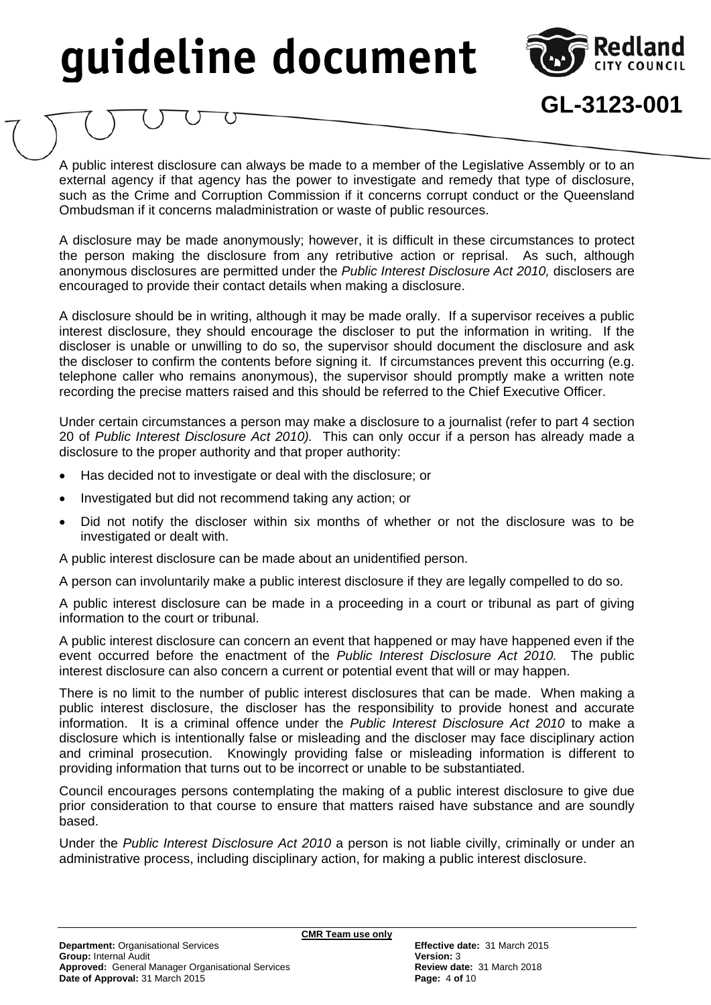

**GL-3123-001**

A public interest disclosure can always be made to a member of the Legislative Assembly or to an external agency if that agency has the power to investigate and remedy that type of disclosure, such as the Crime and Corruption Commission if it concerns corrupt conduct or the Queensland Ombudsman if it concerns maladministration or waste of public resources.

A disclosure may be made anonymously; however, it is difficult in these circumstances to protect the person making the disclosure from any retributive action or reprisal. As such, although anonymous disclosures are permitted under the *Public Interest Disclosure Act 2010,* disclosers are encouraged to provide their contact details when making a disclosure.

A disclosure should be in writing, although it may be made orally. If a supervisor receives a public interest disclosure, they should encourage the discloser to put the information in writing. If the discloser is unable or unwilling to do so, the supervisor should document the disclosure and ask the discloser to confirm the contents before signing it. If circumstances prevent this occurring (e.g. telephone caller who remains anonymous), the supervisor should promptly make a written note recording the precise matters raised and this should be referred to the Chief Executive Officer.

Under certain circumstances a person may make a disclosure to a journalist (refer to part 4 section 20 of *Public Interest Disclosure Act 2010).* This can only occur if a person has already made a disclosure to the proper authority and that proper authority:

- Has decided not to investigate or deal with the disclosure; or
- Investigated but did not recommend taking any action; or
- Did not notify the discloser within six months of whether or not the disclosure was to be investigated or dealt with.

A public interest disclosure can be made about an unidentified person.

A person can involuntarily make a public interest disclosure if they are legally compelled to do so.

A public interest disclosure can be made in a proceeding in a court or tribunal as part of giving information to the court or tribunal.

A public interest disclosure can concern an event that happened or may have happened even if the event occurred before the enactment of the *Public Interest Disclosure Act 2010.* The public interest disclosure can also concern a current or potential event that will or may happen.

There is no limit to the number of public interest disclosures that can be made. When making a public interest disclosure, the discloser has the responsibility to provide honest and accurate information. It is a criminal offence under the *Public Interest Disclosure Act 2010* to make a disclosure which is intentionally false or misleading and the discloser may face disciplinary action and criminal prosecution. Knowingly providing false or misleading information is different to providing information that turns out to be incorrect or unable to be substantiated.

Council encourages persons contemplating the making of a public interest disclosure to give due prior consideration to that course to ensure that matters raised have substance and are soundly based.

Under the *Public Interest Disclosure Act 2010* a person is not liable civilly, criminally or under an administrative process, including disciplinary action, for making a public interest disclosure.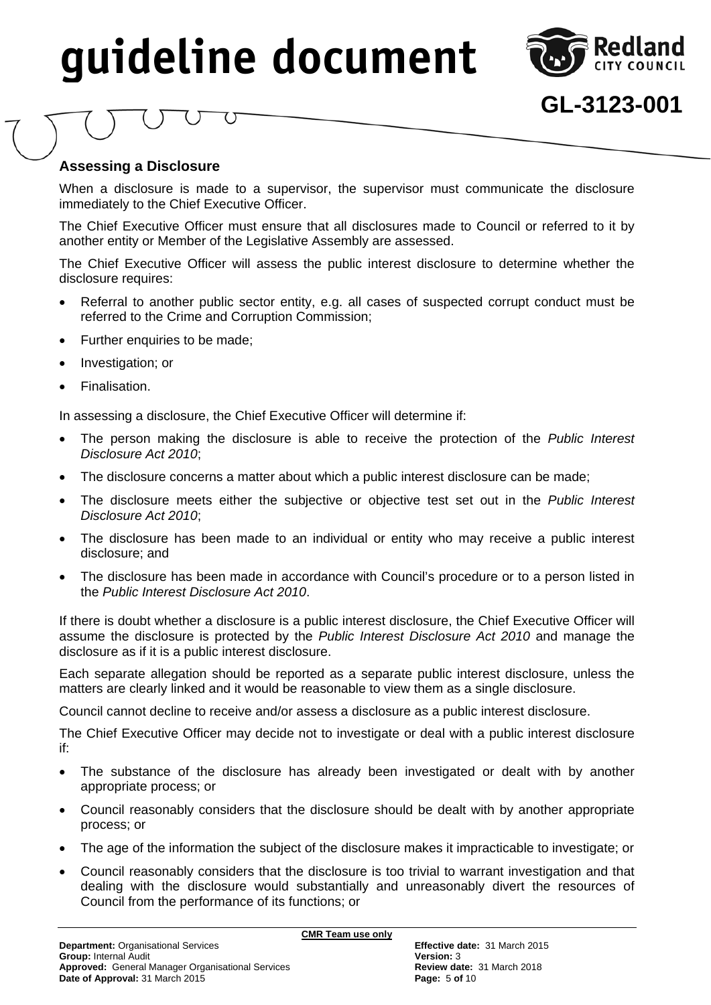

## **GL-3123-001**

#### **Assessing a Disclosure**

When a disclosure is made to a supervisor, the supervisor must communicate the disclosure immediately to the Chief Executive Officer.

The Chief Executive Officer must ensure that all disclosures made to Council or referred to it by another entity or Member of the Legislative Assembly are assessed.

The Chief Executive Officer will assess the public interest disclosure to determine whether the disclosure requires:

- Referral to another public sector entity, e.g. all cases of suspected corrupt conduct must be referred to the Crime and Corruption Commission;
- Further enquiries to be made;
- Investigation; or
- Finalisation.

In assessing a disclosure, the Chief Executive Officer will determine if:

- The person making the disclosure is able to receive the protection of the *Public Interest Disclosure Act 2010*;
- The disclosure concerns a matter about which a public interest disclosure can be made;
- The disclosure meets either the subjective or objective test set out in the *Public Interest Disclosure Act 2010*;
- The disclosure has been made to an individual or entity who may receive a public interest disclosure; and
- The disclosure has been made in accordance with Council's procedure or to a person listed in the *Public Interest Disclosure Act 2010*.

If there is doubt whether a disclosure is a public interest disclosure, the Chief Executive Officer will assume the disclosure is protected by the *Public Interest Disclosure Act 2010* and manage the disclosure as if it is a public interest disclosure.

Each separate allegation should be reported as a separate public interest disclosure, unless the matters are clearly linked and it would be reasonable to view them as a single disclosure.

Council cannot decline to receive and/or assess a disclosure as a public interest disclosure.

The Chief Executive Officer may decide not to investigate or deal with a public interest disclosure if:

- The substance of the disclosure has already been investigated or dealt with by another appropriate process; or
- Council reasonably considers that the disclosure should be dealt with by another appropriate process; or
- The age of the information the subject of the disclosure makes it impracticable to investigate; or
- Council reasonably considers that the disclosure is too trivial to warrant investigation and that dealing with the disclosure would substantially and unreasonably divert the resources of Council from the performance of its functions; or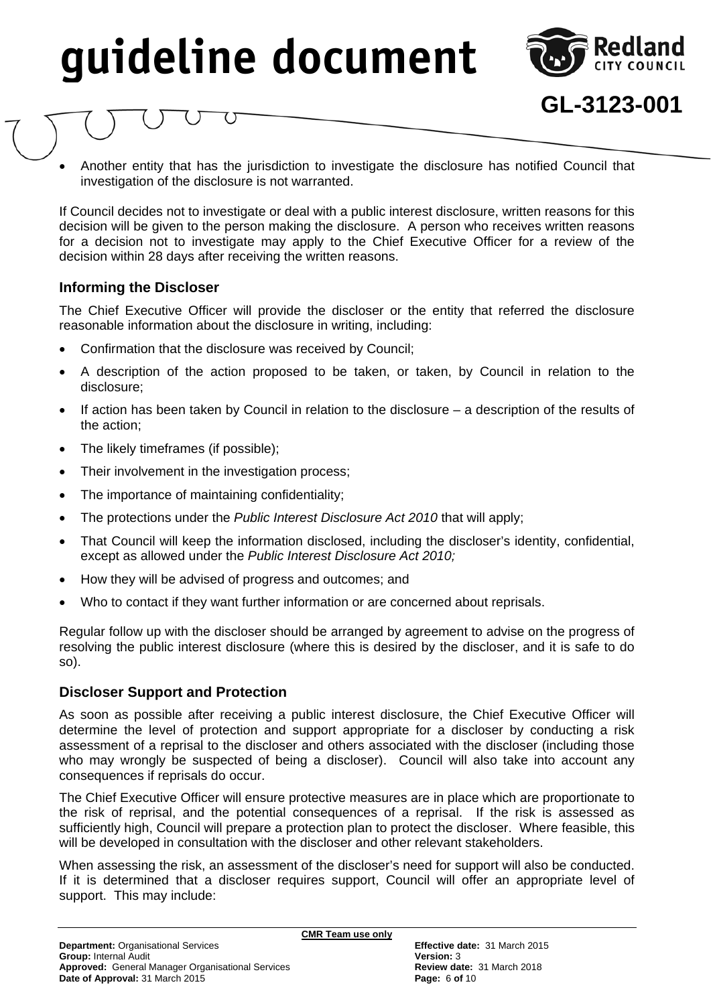

**GL-3123-001**

 Another entity that has the jurisdiction to investigate the disclosure has notified Council that investigation of the disclosure is not warranted.

If Council decides not to investigate or deal with a public interest disclosure, written reasons for this decision will be given to the person making the disclosure. A person who receives written reasons for a decision not to investigate may apply to the Chief Executive Officer for a review of the decision within 28 days after receiving the written reasons.

#### **Informing the Discloser**

The Chief Executive Officer will provide the discloser or the entity that referred the disclosure reasonable information about the disclosure in writing, including:

- Confirmation that the disclosure was received by Council;
- A description of the action proposed to be taken, or taken, by Council in relation to the disclosure;
- If action has been taken by Council in relation to the disclosure a description of the results of the action;
- The likely timeframes (if possible);
- Their involvement in the investigation process;
- The importance of maintaining confidentiality;
- The protections under the *Public Interest Disclosure Act 2010* that will apply;
- That Council will keep the information disclosed, including the discloser's identity, confidential, except as allowed under the *Public Interest Disclosure Act 2010;*
- How they will be advised of progress and outcomes; and
- Who to contact if they want further information or are concerned about reprisals.

Regular follow up with the discloser should be arranged by agreement to advise on the progress of resolving the public interest disclosure (where this is desired by the discloser, and it is safe to do so).

#### **Discloser Support and Protection**

As soon as possible after receiving a public interest disclosure, the Chief Executive Officer will determine the level of protection and support appropriate for a discloser by conducting a risk assessment of a reprisal to the discloser and others associated with the discloser (including those who may wrongly be suspected of being a discloser). Council will also take into account any consequences if reprisals do occur.

The Chief Executive Officer will ensure protective measures are in place which are proportionate to the risk of reprisal, and the potential consequences of a reprisal. If the risk is assessed as sufficiently high, Council will prepare a protection plan to protect the discloser. Where feasible, this will be developed in consultation with the discloser and other relevant stakeholders.

When assessing the risk, an assessment of the discloser's need for support will also be conducted. If it is determined that a discloser requires support, Council will offer an appropriate level of support. This may include: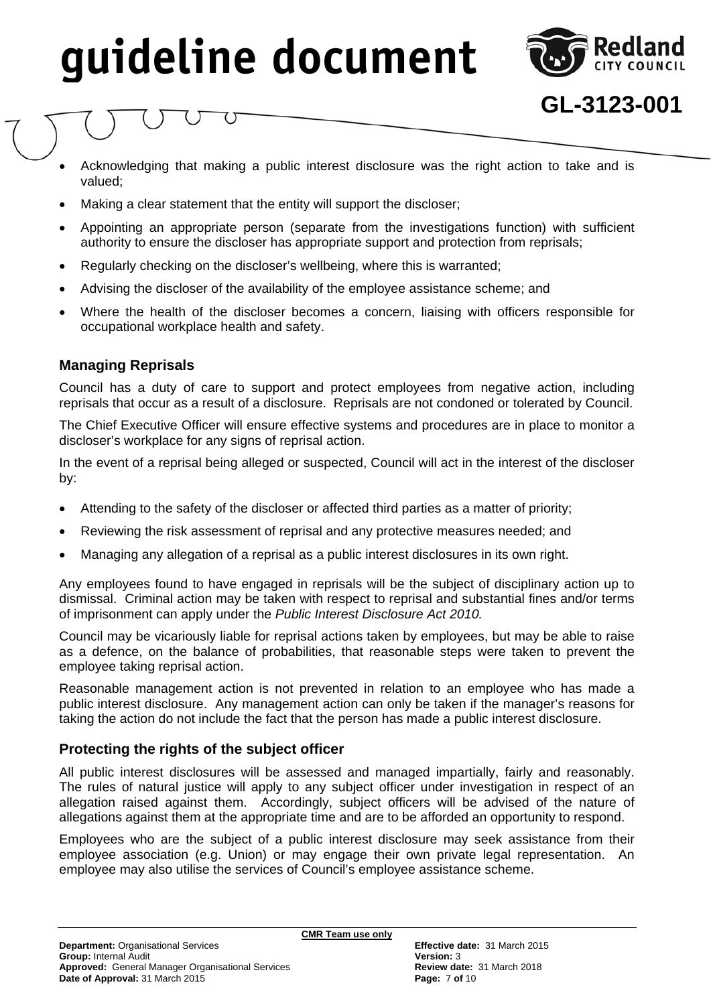

- Acknowledging that making a public interest disclosure was the right action to take and is valued;
- Making a clear statement that the entity will support the discloser;
- Appointing an appropriate person (separate from the investigations function) with sufficient authority to ensure the discloser has appropriate support and protection from reprisals;
- Regularly checking on the discloser's wellbeing, where this is warranted;
- Advising the discloser of the availability of the employee assistance scheme; and
- Where the health of the discloser becomes a concern, liaising with officers responsible for occupational workplace health and safety.

#### **Managing Reprisals**

Council has a duty of care to support and protect employees from negative action, including reprisals that occur as a result of a disclosure. Reprisals are not condoned or tolerated by Council.

The Chief Executive Officer will ensure effective systems and procedures are in place to monitor a discloser's workplace for any signs of reprisal action.

In the event of a reprisal being alleged or suspected, Council will act in the interest of the discloser by:

- Attending to the safety of the discloser or affected third parties as a matter of priority;
- Reviewing the risk assessment of reprisal and any protective measures needed; and
- Managing any allegation of a reprisal as a public interest disclosures in its own right.

Any employees found to have engaged in reprisals will be the subject of disciplinary action up to dismissal. Criminal action may be taken with respect to reprisal and substantial fines and/or terms of imprisonment can apply under the *Public Interest Disclosure Act 2010.*

Council may be vicariously liable for reprisal actions taken by employees, but may be able to raise as a defence, on the balance of probabilities, that reasonable steps were taken to prevent the employee taking reprisal action.

Reasonable management action is not prevented in relation to an employee who has made a public interest disclosure. Any management action can only be taken if the manager's reasons for taking the action do not include the fact that the person has made a public interest disclosure.

#### **Protecting the rights of the subject officer**

All public interest disclosures will be assessed and managed impartially, fairly and reasonably. The rules of natural justice will apply to any subject officer under investigation in respect of an allegation raised against them. Accordingly, subject officers will be advised of the nature of allegations against them at the appropriate time and are to be afforded an opportunity to respond.

Employees who are the subject of a public interest disclosure may seek assistance from their employee association (e.g. Union) or may engage their own private legal representation. An employee may also utilise the services of Council's employee assistance scheme.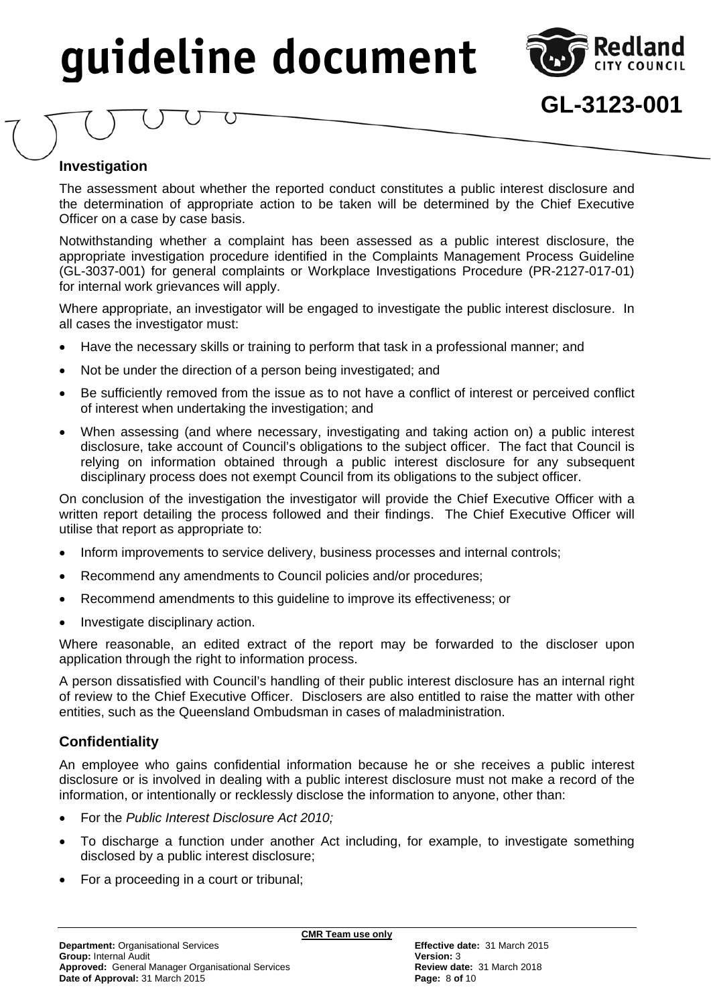

### **GL-3123-001**

#### **Investigation**

The assessment about whether the reported conduct constitutes a public interest disclosure and the determination of appropriate action to be taken will be determined by the Chief Executive Officer on a case by case basis.

Notwithstanding whether a complaint has been assessed as a public interest disclosure, the appropriate investigation procedure identified in the Complaints Management Process Guideline (GL-3037-001) for general complaints or Workplace Investigations Procedure (PR-2127-017-01) for internal work grievances will apply.

Where appropriate, an investigator will be engaged to investigate the public interest disclosure. In all cases the investigator must:

- Have the necessary skills or training to perform that task in a professional manner; and
- Not be under the direction of a person being investigated; and
- Be sufficiently removed from the issue as to not have a conflict of interest or perceived conflict of interest when undertaking the investigation; and
- When assessing (and where necessary, investigating and taking action on) a public interest disclosure, take account of Council's obligations to the subject officer. The fact that Council is relying on information obtained through a public interest disclosure for any subsequent disciplinary process does not exempt Council from its obligations to the subject officer.

On conclusion of the investigation the investigator will provide the Chief Executive Officer with a written report detailing the process followed and their findings. The Chief Executive Officer will utilise that report as appropriate to:

- Inform improvements to service delivery, business processes and internal controls;
- Recommend any amendments to Council policies and/or procedures;
- Recommend amendments to this guideline to improve its effectiveness; or
- Investigate disciplinary action.

Where reasonable, an edited extract of the report may be forwarded to the discloser upon application through the right to information process.

A person dissatisfied with Council's handling of their public interest disclosure has an internal right of review to the Chief Executive Officer. Disclosers are also entitled to raise the matter with other entities, such as the Queensland Ombudsman in cases of maladministration.

#### **Confidentiality**

An employee who gains confidential information because he or she receives a public interest disclosure or is involved in dealing with a public interest disclosure must not make a record of the information, or intentionally or recklessly disclose the information to anyone, other than:

- For the *Public Interest Disclosure Act 2010;*
- To discharge a function under another Act including, for example, to investigate something disclosed by a public interest disclosure;
- For a proceeding in a court or tribunal;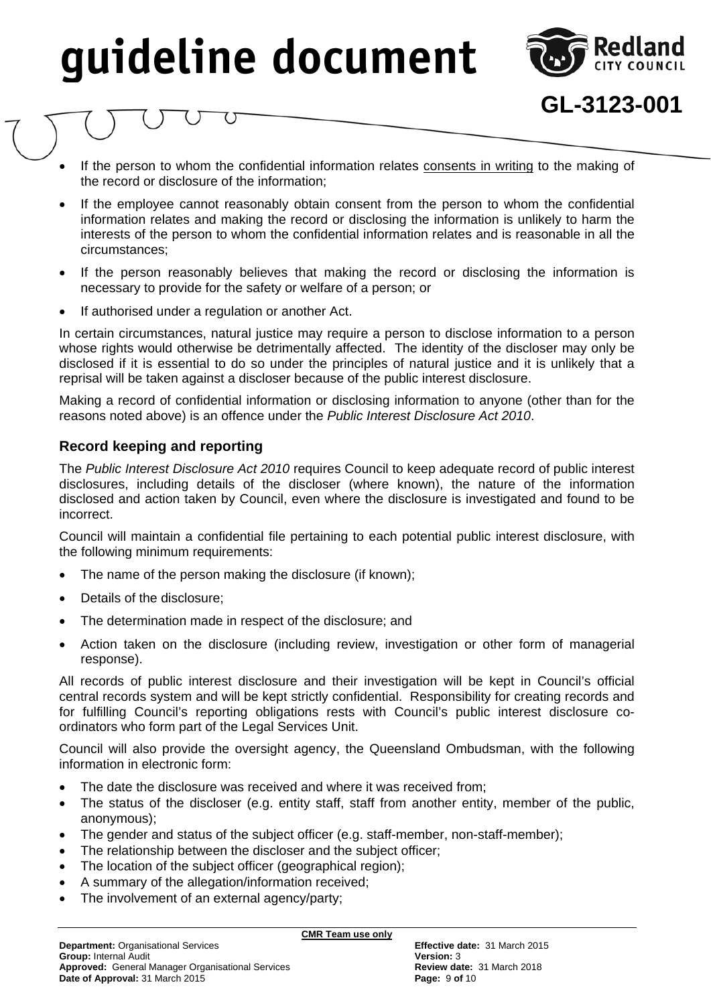

**GL-3123-001**

- If the person to whom the confidential information relates consents in writing to the making of the record or disclosure of the information;
- If the employee cannot reasonably obtain consent from the person to whom the confidential information relates and making the record or disclosing the information is unlikely to harm the interests of the person to whom the confidential information relates and is reasonable in all the circumstances;
- If the person reasonably believes that making the record or disclosing the information is necessary to provide for the safety or welfare of a person; or
- If authorised under a regulation or another Act.

In certain circumstances, natural justice may require a person to disclose information to a person whose rights would otherwise be detrimentally affected. The identity of the discloser may only be disclosed if it is essential to do so under the principles of natural justice and it is unlikely that a reprisal will be taken against a discloser because of the public interest disclosure.

Making a record of confidential information or disclosing information to anyone (other than for the reasons noted above) is an offence under the *Public Interest Disclosure Act 2010*.

#### **Record keeping and reporting**

The *Public Interest Disclosure Act 2010* requires Council to keep adequate record of public interest disclosures, including details of the discloser (where known), the nature of the information disclosed and action taken by Council, even where the disclosure is investigated and found to be incorrect.

Council will maintain a confidential file pertaining to each potential public interest disclosure, with the following minimum requirements:

- The name of the person making the disclosure (if known);
- Details of the disclosure:
- The determination made in respect of the disclosure; and
- Action taken on the disclosure (including review, investigation or other form of managerial response).

All records of public interest disclosure and their investigation will be kept in Council's official central records system and will be kept strictly confidential. Responsibility for creating records and for fulfilling Council's reporting obligations rests with Council's public interest disclosure coordinators who form part of the Legal Services Unit.

Council will also provide the oversight agency, the Queensland Ombudsman, with the following information in electronic form:

- The date the disclosure was received and where it was received from;
- The status of the discloser (e.g. entity staff, staff from another entity, member of the public, anonymous);
- The gender and status of the subject officer (e.g. staff-member, non-staff-member);
- The relationship between the discloser and the subject officer;
- The location of the subject officer (geographical region);
- A summary of the allegation/information received;
- The involvement of an external agency/party;